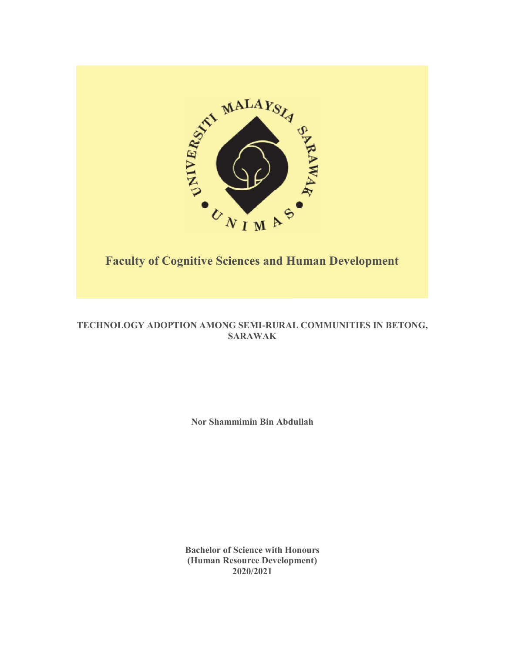

# TECHNOLOGY ADOPTION AMONG SEMI-RURAL COMMUNITIES IN BETONG, SARAWAK

Nor Shammimin Bin Abdullah

Bachelor of Science with Honours (Human Resource Development) 2020/2021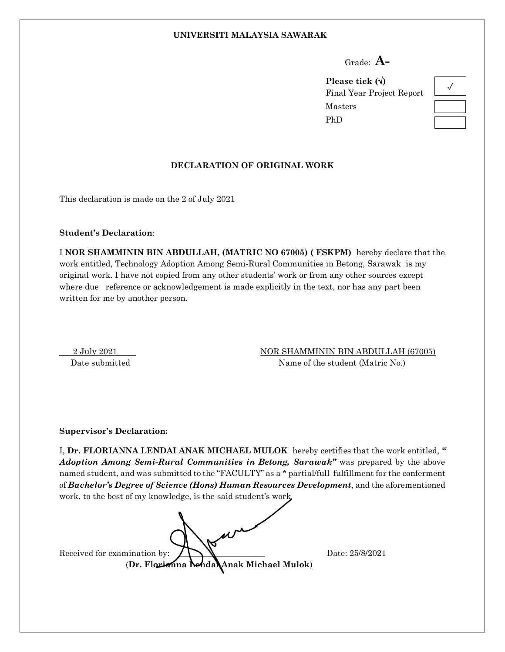#### **UNIVERSITI MALAYSIA SAWARAK**

Grade: **A-**

**Please tick ()** Final Year Project Report Masters PhD



#### **DECLARATION OF ORIGINAL WORK**

This declaration is made on the 2 of July 2021

**Student's Declaration**:

I **NOR SHAMMININ BIN ABDULLAH, (MATRIC NO 67005) ( FSKPM)** hereby declare that the work entitled, Technology Adoption Among Semi-Rural Communities in Betong, Sarawak is my original work. I have not copied from any other students' work or from any other sources except where due reference or acknowledgement is made explicitly in the text, nor has any part been written for me by another person.

2 July 2021 NOR SHAMMININ BIN ABDULLAH (67005)

Date submitted Name of the student (Matric No.)

#### **Supervisor's Declaration:**

I, **Dr. FLORIANNA LENDAI ANAK MICHAEL MULOK** hereby certifies that the work entitled, *" Adoption Among Semi-Rural Communities in Betong, Sarawak"* was prepared by the above named student, and was submitted to the "FACULTY" as a \* partial/full fulfillment for the conferment of *Bachelor's Degree of Science (Hons) Human Resources Development*, and the aforementioned work, to the best of my knowledge, is the said student's work

Received for examination by:  $\sum_{n=1}^{\infty}$   $\sum_{n=1}^{\infty}$  Date: 25/8/2021 (**Dr. Florianna Lendai Anak Michael Mulok**)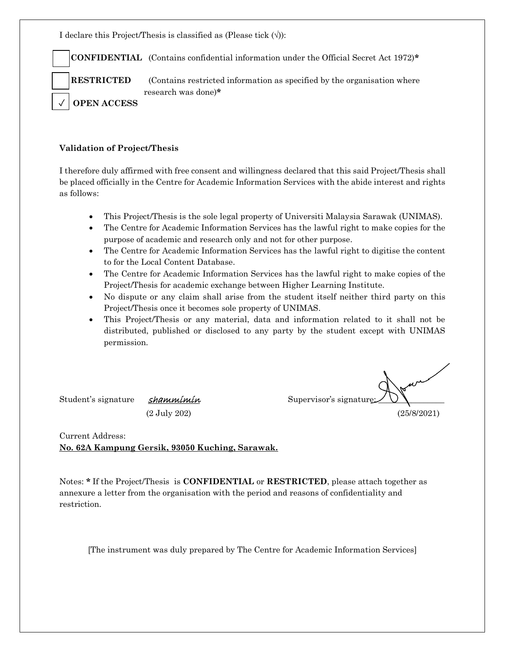I declare this Project/Thesis is classified as (Please tick  $(\forall)$ ):

**CONFIDENTIAL** (Contains confidential information under the Official Secret Act 1972)**\***

**RESTRICTED** (Contains restricted information as specified by the organisation where research was done)**\***

**OPEN ACCESS**

 $\overline{a}$ 

✓

#### **Validation of Project/Thesis**

I therefore duly affirmed with free consent and willingness declared that this said Project/Thesis shall be placed officially in the Centre for Academic Information Services with the abide interest and rights as follows:

- This Project/Thesis is the sole legal property of Universiti Malaysia Sarawak (UNIMAS).
- The Centre for Academic Information Services has the lawful right to make copies for the purpose of academic and research only and not for other purpose.
- The Centre for Academic Information Services has the lawful right to digitise the content to for the Local Content Database.
- The Centre for Academic Information Services has the lawful right to make copies of the Project/Thesis for academic exchange between Higher Learning Institute.
- No dispute or any claim shall arise from the student itself neither third party on this Project/Thesis once it becomes sole property of UNIMAS.
- This Project/Thesis or any material, data and information related to it shall not be distributed, published or disclosed to any party by the student except with UNIMAS permission.

Student's signature *shammimin* Supervisor's signature:

(2 July 202) (25/8/2021)

Current Address: **No. 62A Kampung Gersik, 93050 Kuching, Sarawak.**

Notes: **\*** If the Project/Thesis is **CONFIDENTIAL** or **RESTRICTED**, please attach together as annexure a letter from the organisation with the period and reasons of confidentiality and restriction.

[The instrument was duly prepared by The Centre for Academic Information Services]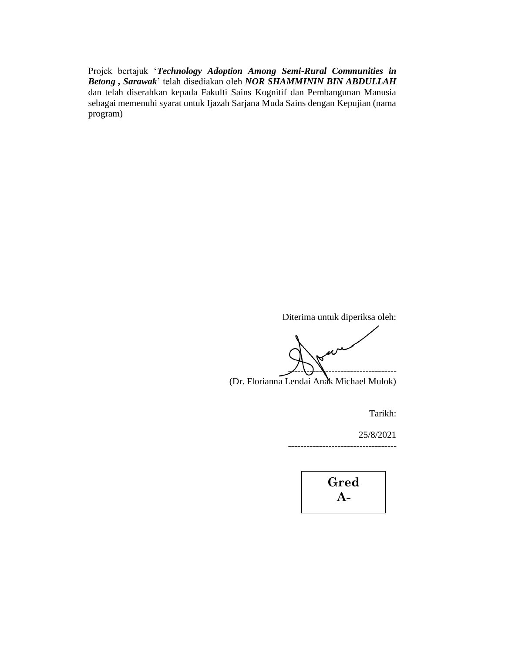Projek bertajuk '*Technology Adoption Among Semi-Rural Communities in Betong , Sarawak*' telah disediakan oleh *NOR SHAMMININ BIN ABDULLAH* dan telah diserahkan kepada Fakulti Sains Kognitif dan Pembangunan Manusia sebagai memenuhi syarat untuk Ijazah Sarjana Muda Sains dengan Kepujian (nama program)

Diterima untuk diperiksa oleh:

-----------------------------------

(Dr. Florianna Lendai Anak Michael Mulok)

Tarikh:

-----------------------------------

25/8/2021

**Gred A-**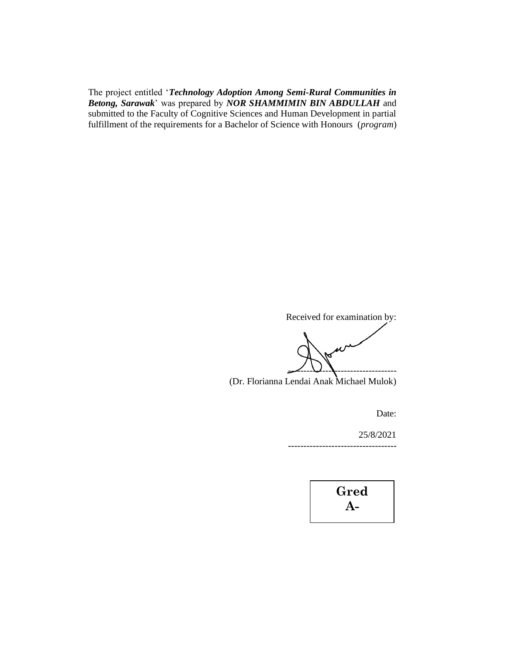The project entitled '*Technology Adoption Among Semi-Rural Communities in Betong, Sarawak*' was prepared by *NOR SHAMMIMIN BIN ABDULLAH* and submitted to the Faculty of Cognitive Sciences and Human Development in partial fulfillment of the requirements for a Bachelor of Science with Honours (*program*)

Received for examination by:

<u>-- U.S. ........................</u>

(Dr. Florianna Lendai Anak Michael Mulok)

Date:

25/8/2021 -----------------------------------

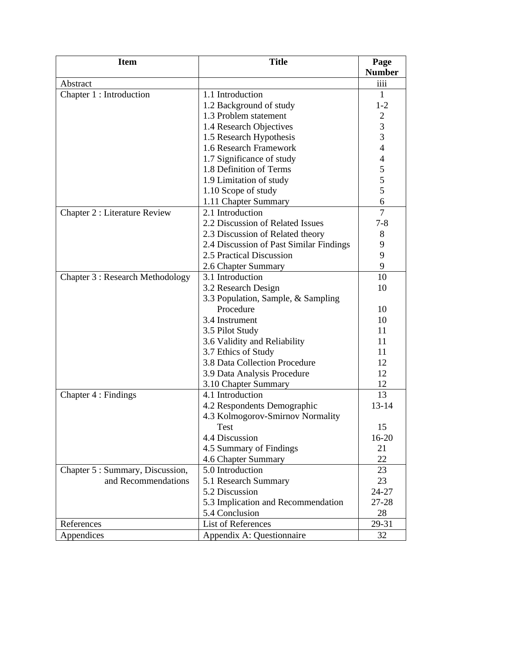| <b>Item</b>                          | <b>Title</b>                            | Page                                       |
|--------------------------------------|-----------------------------------------|--------------------------------------------|
|                                      |                                         | <b>Number</b>                              |
| Abstract                             |                                         | iiii                                       |
| Chapter 1 : Introduction             | 1.1 Introduction                        | 1                                          |
|                                      | 1.2 Background of study                 | $1 - 2$                                    |
|                                      | 1.3 Problem statement                   | $\overline{2}$                             |
|                                      | 1.4 Research Objectives                 | 3                                          |
|                                      | 1.5 Research Hypothesis                 | 3                                          |
|                                      | 1.6 Research Framework                  | $\overline{4}$                             |
|                                      | 1.7 Significance of study               | $\overline{4}$                             |
|                                      | 1.8 Definition of Terms                 | $\begin{array}{c} 5 \\ 5 \\ 5 \end{array}$ |
|                                      | 1.9 Limitation of study                 |                                            |
|                                      | 1.10 Scope of study                     |                                            |
|                                      | 1.11 Chapter Summary                    | 6                                          |
| <b>Chapter 2 : Literature Review</b> | 2.1 Introduction                        | $\overline{7}$                             |
|                                      | 2.2 Discussion of Related Issues        | $7 - 8$                                    |
|                                      | 2.3 Discussion of Related theory        | 8                                          |
|                                      | 2.4 Discussion of Past Similar Findings | 9                                          |
|                                      | 2.5 Practical Discussion                | 9                                          |
|                                      | 2.6 Chapter Summary                     | 9                                          |
| Chapter 3 : Research Methodology     | 3.1 Introduction                        | 10                                         |
|                                      | 3.2 Research Design                     | 10                                         |
|                                      | 3.3 Population, Sample, & Sampling      |                                            |
|                                      | Procedure                               | 10                                         |
|                                      | 3.4 Instrument                          | 10                                         |
|                                      | 3.5 Pilot Study                         | 11                                         |
|                                      | 3.6 Validity and Reliability            | 11                                         |
|                                      | 3.7 Ethics of Study                     | 11                                         |
|                                      | 3.8 Data Collection Procedure           | 12                                         |
|                                      | 3.9 Data Analysis Procedure             | 12                                         |
|                                      | 3.10 Chapter Summary                    | 12                                         |
| Chapter 4 : Findings                 | 4.1 Introduction                        | 13                                         |
|                                      | 4.2 Respondents Demographic             | $13 - 14$                                  |
|                                      | 4.3 Kolmogorov-Smirnov Normality        |                                            |
|                                      | Test                                    | 15                                         |
|                                      | 4.4 Discussion                          | $16 - 20$                                  |
|                                      | 4.5 Summary of Findings                 | 21                                         |
|                                      | 4.6 Chapter Summary                     | 22                                         |
| Chapter 5 : Summary, Discussion,     | 5.0 Introduction                        | 23                                         |
| and Recommendations                  | 5.1 Research Summary                    | 23                                         |
|                                      | 5.2 Discussion                          | 24-27                                      |
|                                      | 5.3 Implication and Recommendation      | 27-28                                      |
|                                      | 5.4 Conclusion                          | 28                                         |
| References                           | List of References                      | 29-31                                      |
| Appendices                           | Appendix A: Questionnaire               | 32                                         |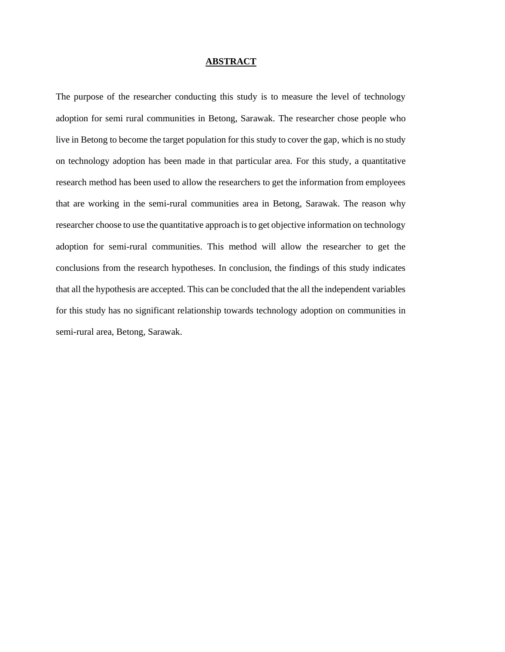#### **ABSTRACT**

The purpose of the researcher conducting this study is to measure the level of technology adoption for semi rural communities in Betong, Sarawak. The researcher chose people who live in Betong to become the target population for this study to cover the gap, which is no study on technology adoption has been made in that particular area. For this study, a quantitative research method has been used to allow the researchers to get the information from employees that are working in the semi-rural communities area in Betong, Sarawak. The reason why researcher choose to use the quantitative approach is to get objective information on technology adoption for semi-rural communities. This method will allow the researcher to get the conclusions from the research hypotheses. In conclusion, the findings of this study indicates that all the hypothesis are accepted. This can be concluded that the all the independent variables for this study has no significant relationship towards technology adoption on communities in semi-rural area, Betong, Sarawak.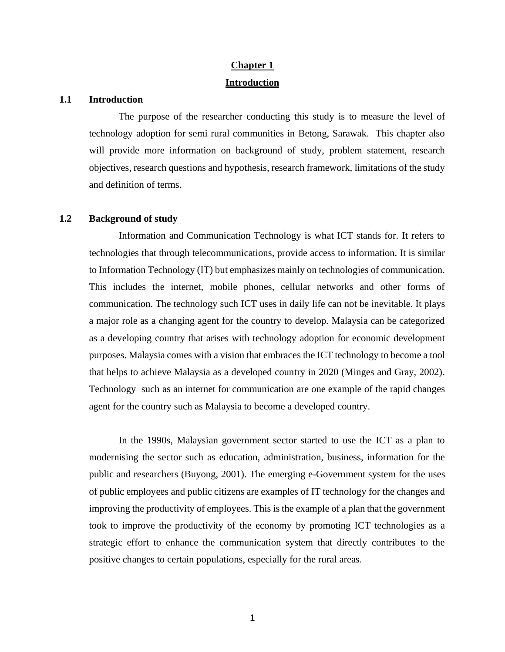# **Chapter 1 Introduction**

#### **1.1 Introduction**

The purpose of the researcher conducting this study is to measure the level of technology adoption for semi rural communities in Betong, Sarawak. This chapter also will provide more information on background of study, problem statement, research objectives, research questions and hypothesis, research framework, limitations of the study and definition of terms.

# **1.2 Background of study**

Information and Communication Technology is what ICT stands for. It refers to technologies that through telecommunications, provide access to information. It is similar to Information Technology (IT) but emphasizes mainly on technologies of communication. This includes the internet, mobile phones, cellular networks and other forms of communication. The technology such ICT uses in daily life can not be inevitable. It plays a major role as a changing agent for the country to develop. Malaysia can be categorized as a developing country that arises with technology adoption for economic development purposes. Malaysia comes with a vision that embraces the ICT technology to become a tool that helps to achieve Malaysia as a developed country in 2020 (Minges and Gray, 2002). Technology such as an internet for communication are one example of the rapid changes agent for the country such as Malaysia to become a developed country.

In the 1990s, Malaysian government sector started to use the ICT as a plan to modernising the sector such as education, administration, business, information for the public and researchers (Buyong, 2001). The emerging e-Government system for the uses of public employees and public citizens are examples of IT technology for the changes and improving the productivity of employees. This is the example of a plan that the government took to improve the productivity of the economy by promoting ICT technologies as a strategic effort to enhance the communication system that directly contributes to the positive changes to certain populations, especially for the rural areas.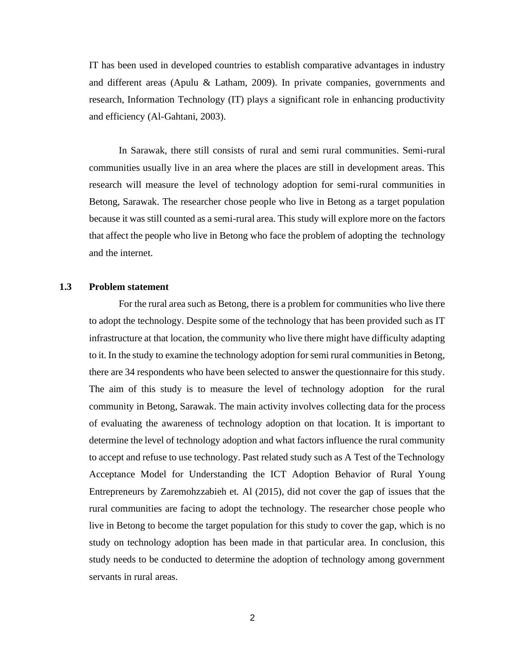IT has been used in developed countries to establish comparative advantages in industry and different areas (Apulu & Latham, 2009). In private companies, governments and research, Information Technology (IT) plays a significant role in enhancing productivity and efficiency (Al-Gahtani, 2003).

In Sarawak, there still consists of rural and semi rural communities. Semi-rural communities usually live in an area where the places are still in development areas. This research will measure the level of technology adoption for semi-rural communities in Betong, Sarawak. The researcher chose people who live in Betong as a target population because it was still counted as a semi-rural area. This study will explore more on the factors that affect the people who live in Betong who face the problem of adopting the technology and the internet.

# **1.3 Problem statement**

For the rural area such as Betong, there is a problem for communities who live there to adopt the technology. Despite some of the technology that has been provided such as IT infrastructure at that location, the community who live there might have difficulty adapting to it. In the study to examine the technology adoption for semi rural communities in Betong, there are 34 respondents who have been selected to answer the questionnaire for this study. The aim of this study is to measure the level of technology adoption for the rural community in Betong, Sarawak. The main activity involves collecting data for the process of evaluating the awareness of technology adoption on that location. It is important to determine the level of technology adoption and what factors influence the rural community to accept and refuse to use technology. Past related study such as A Test of the Technology Acceptance Model for Understanding the ICT Adoption Behavior of Rural Young Entrepreneurs by Zaremohzzabieh et. Al (2015), did not cover the gap of issues that the rural communities are facing to adopt the technology. The researcher chose people who live in Betong to become the target population for this study to cover the gap, which is no study on technology adoption has been made in that particular area. In conclusion, this study needs to be conducted to determine the adoption of technology among government servants in rural areas.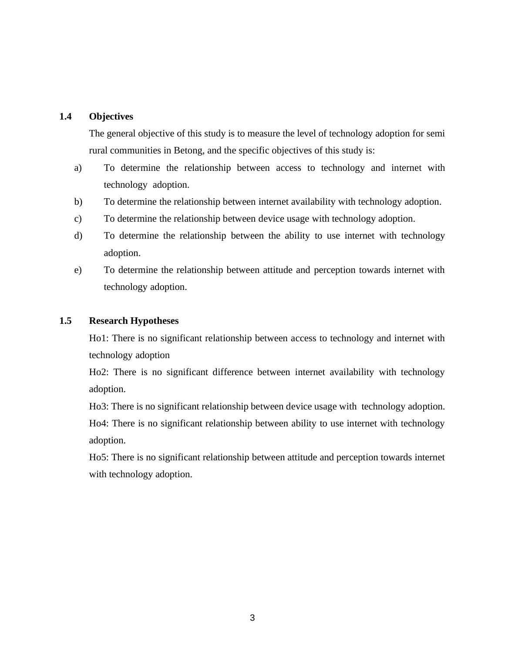# **1.4 Objectives**

The general objective of this study is to measure the level of technology adoption for semi rural communities in Betong, and the specific objectives of this study is:

- a) To determine the relationship between access to technology and internet with technology adoption.
- b) To determine the relationship between internet availability with technology adoption.
- c) To determine the relationship between device usage with technology adoption.
- d) To determine the relationship between the ability to use internet with technology adoption.
- e) To determine the relationship between attitude and perception towards internet with technology adoption.

# **1.5 Research Hypotheses**

Ho1: There is no significant relationship between access to technology and internet with technology adoption

Ho2: There is no significant difference between internet availability with technology adoption.

Ho3: There is no significant relationship between device usage with technology adoption.

Ho4: There is no significant relationship between ability to use internet with technology adoption.

Ho5: There is no significant relationship between attitude and perception towards internet with technology adoption.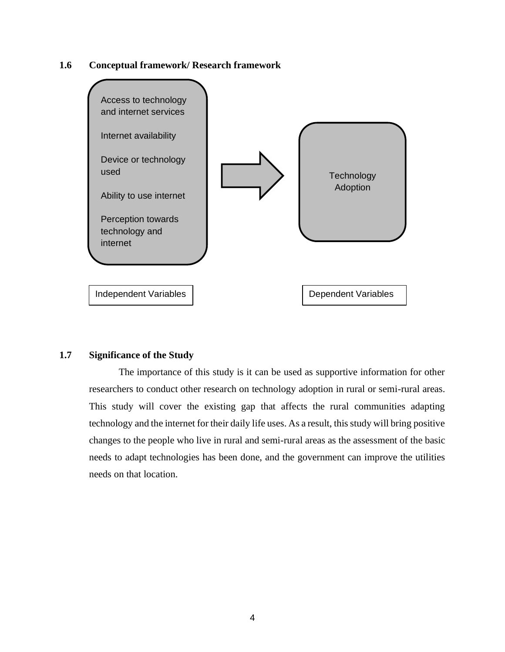# **1.6 Conceptual framework/ Research framework**



# **1.7 Significance of the Study**

The importance of this study is it can be used as supportive information for other researchers to conduct other research on technology adoption in rural or semi-rural areas. This study will cover the existing gap that affects the rural communities adapting technology and the internet for their daily life uses. As a result, this study will bring positive changes to the people who live in rural and semi-rural areas as the assessment of the basic needs to adapt technologies has been done, and the government can improve the utilities needs on that location.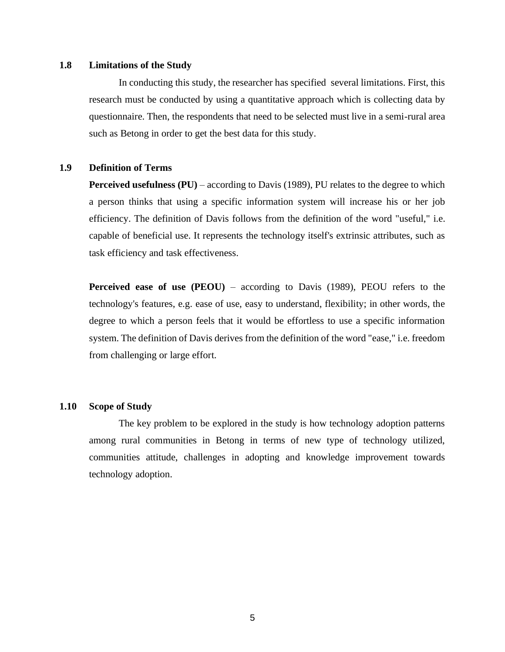# **1.8 Limitations of the Study**

In conducting this study, the researcher has specified several limitations. First, this research must be conducted by using a quantitative approach which is collecting data by questionnaire. Then, the respondents that need to be selected must live in a semi-rural area such as Betong in order to get the best data for this study.

# **1.9 Definition of Terms**

**Perceived usefulness (PU)** – according to Davis (1989), PU relates to the degree to which a person thinks that using a specific information system will increase his or her job efficiency. The definition of Davis follows from the definition of the word "useful," i.e. capable of beneficial use. It represents the technology itself's extrinsic attributes, such as task efficiency and task effectiveness.

**Perceived ease of use (PEOU)** – according to Davis (1989), PEOU refers to the technology's features, e.g. ease of use, easy to understand, flexibility; in other words, the degree to which a person feels that it would be effortless to use a specific information system. The definition of Davis derives from the definition of the word "ease," i.e. freedom from challenging or large effort.

#### **1.10 Scope of Study**

The key problem to be explored in the study is how technology adoption patterns among rural communities in Betong in terms of new type of technology utilized, communities attitude, challenges in adopting and knowledge improvement towards technology adoption.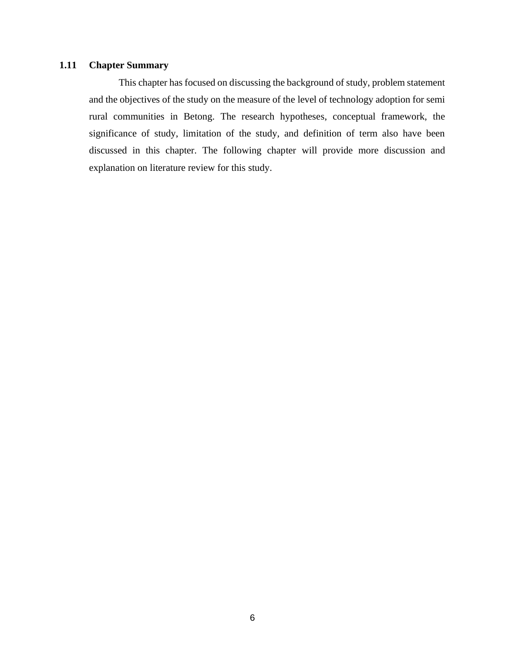# **1.11 Chapter Summary**

This chapter has focused on discussing the background of study, problem statement and the objectives of the study on the measure of the level of technology adoption for semi rural communities in Betong. The research hypotheses, conceptual framework, the significance of study, limitation of the study, and definition of term also have been discussed in this chapter. The following chapter will provide more discussion and explanation on literature review for this study.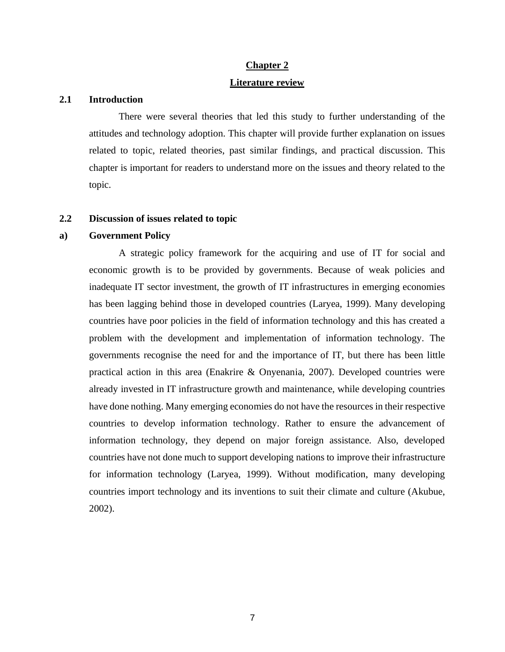# **Chapter 2 Literature review**

### **2.1 Introduction**

There were several theories that led this study to further understanding of the attitudes and technology adoption. This chapter will provide further explanation on issues related to topic, related theories, past similar findings, and practical discussion. This chapter is important for readers to understand more on the issues and theory related to the topic.

# **2.2 Discussion of issues related to topic**

# **a) Government Policy**

A strategic policy framework for the acquiring and use of IT for social and economic growth is to be provided by governments. Because of weak policies and inadequate IT sector investment, the growth of IT infrastructures in emerging economies has been lagging behind those in developed countries (Laryea, 1999). Many developing countries have poor policies in the field of information technology and this has created a problem with the development and implementation of information technology. The governments recognise the need for and the importance of IT, but there has been little practical action in this area (Enakrire & Onyenania, 2007). Developed countries were already invested in IT infrastructure growth and maintenance, while developing countries have done nothing. Many emerging economies do not have the resources in their respective countries to develop information technology. Rather to ensure the advancement of information technology, they depend on major foreign assistance. Also, developed countries have not done much to support developing nations to improve their infrastructure for information technology (Laryea, 1999). Without modification, many developing countries import technology and its inventions to suit their climate and culture (Akubue, 2002).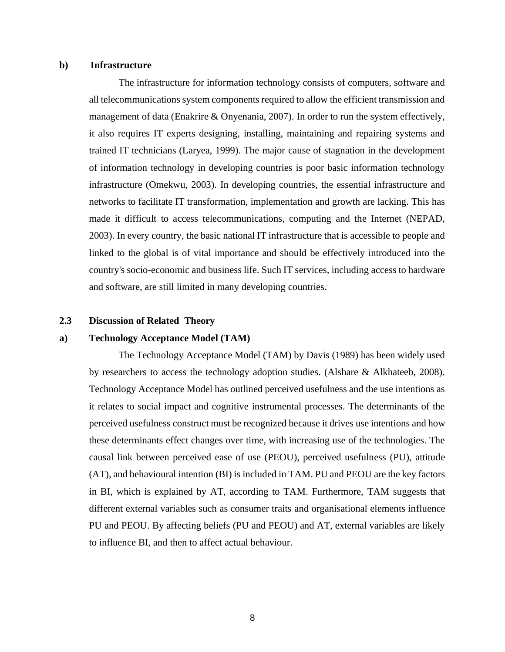#### **b) Infrastructure**

The infrastructure for information technology consists of computers, software and all telecommunications system components required to allow the efficient transmission and management of data (Enakrire & Onyenania, 2007). In order to run the system effectively, it also requires IT experts designing, installing, maintaining and repairing systems and trained IT technicians (Laryea, 1999). The major cause of stagnation in the development of information technology in developing countries is poor basic information technology infrastructure (Omekwu, 2003). In developing countries, the essential infrastructure and networks to facilitate IT transformation, implementation and growth are lacking. This has made it difficult to access telecommunications, computing and the Internet (NEPAD, 2003). In every country, the basic national IT infrastructure that is accessible to people and linked to the global is of vital importance and should be effectively introduced into the country's socio-economic and business life. Such IT services, including access to hardware and software, are still limited in many developing countries.

#### **2.3 Discussion of Related Theory**

### **a) Technology Acceptance Model (TAM)**

The Technology Acceptance Model (TAM) by Davis (1989) has been widely used by researchers to access the technology adoption studies. (Alshare & Alkhateeb, 2008). Technology Acceptance Model has outlined perceived usefulness and the use intentions as it relates to social impact and cognitive instrumental processes. The determinants of the perceived usefulness construct must be recognized because it drives use intentions and how these determinants effect changes over time, with increasing use of the technologies. The causal link between perceived ease of use (PEOU), perceived usefulness (PU), attitude (AT), and behavioural intention (BI) is included in TAM. PU and PEOU are the key factors in BI, which is explained by AT, according to TAM. Furthermore, TAM suggests that different external variables such as consumer traits and organisational elements influence PU and PEOU. By affecting beliefs (PU and PEOU) and AT, external variables are likely to influence BI, and then to affect actual behaviour.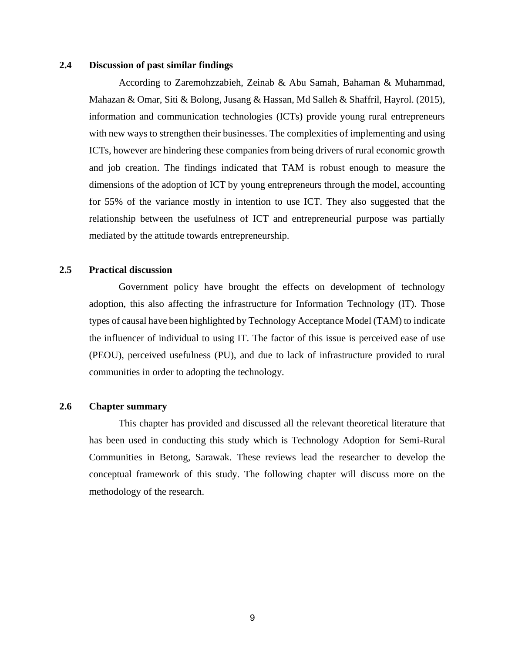# **2.4 Discussion of past similar findings**

According to Zaremohzzabieh, Zeinab & Abu Samah, Bahaman & Muhammad, Mahazan & Omar, Siti & Bolong, Jusang & Hassan, Md Salleh & Shaffril, Hayrol. (2015), information and communication technologies (ICTs) provide young rural entrepreneurs with new ways to strengthen their businesses. The complexities of implementing and using ICTs, however are hindering these companies from being drivers of rural economic growth and job creation. The findings indicated that TAM is robust enough to measure the dimensions of the adoption of ICT by young entrepreneurs through the model, accounting for 55% of the variance mostly in intention to use ICT. They also suggested that the relationship between the usefulness of ICT and entrepreneurial purpose was partially mediated by the attitude towards entrepreneurship.

# **2.5 Practical discussion**

Government policy have brought the effects on development of technology adoption, this also affecting the infrastructure for Information Technology (IT). Those types of causal have been highlighted by Technology Acceptance Model (TAM) to indicate the influencer of individual to using IT. The factor of this issue is perceived ease of use (PEOU), perceived usefulness (PU), and due to lack of infrastructure provided to rural communities in order to adopting the technology.

# **2.6 Chapter summary**

This chapter has provided and discussed all the relevant theoretical literature that has been used in conducting this study which is Technology Adoption for Semi-Rural Communities in Betong, Sarawak. These reviews lead the researcher to develop the conceptual framework of this study. The following chapter will discuss more on the methodology of the research.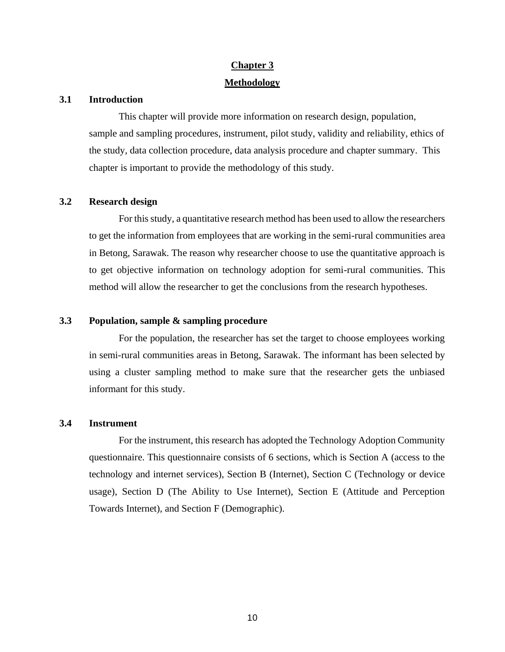# **Chapter 3 Methodology**

## **3.1 Introduction**

This chapter will provide more information on research design, population, sample and sampling procedures, instrument, pilot study, validity and reliability, ethics of the study, data collection procedure, data analysis procedure and chapter summary. This chapter is important to provide the methodology of this study.

### **3.2 Research design**

For this study, a quantitative research method has been used to allow the researchers to get the information from employees that are working in the semi-rural communities area in Betong, Sarawak. The reason why researcher choose to use the quantitative approach is to get objective information on technology adoption for semi-rural communities. This method will allow the researcher to get the conclusions from the research hypotheses.

## **3.3 Population, sample & sampling procedure**

For the population, the researcher has set the target to choose employees working in semi-rural communities areas in Betong, Sarawak. The informant has been selected by using a cluster sampling method to make sure that the researcher gets the unbiased informant for this study.

# **3.4 Instrument**

For the instrument, this research has adopted the Technology Adoption Community questionnaire. This questionnaire consists of 6 sections, which is Section A (access to the technology and internet services), Section B (Internet), Section C (Technology or device usage), Section D (The Ability to Use Internet), Section E (Attitude and Perception Towards Internet), and Section F (Demographic).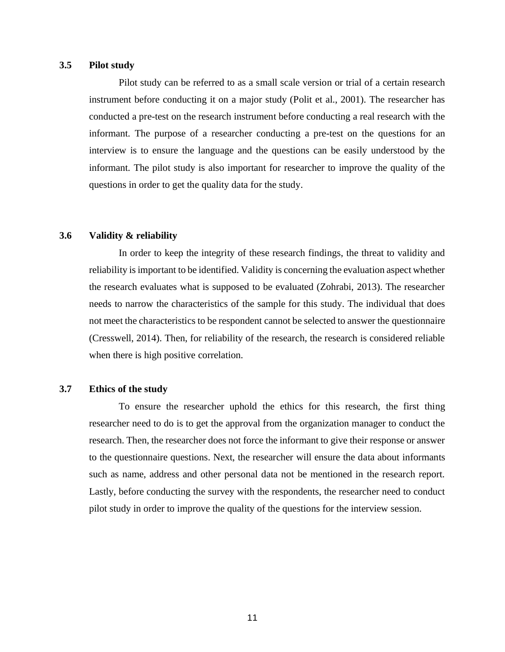# **3.5 Pilot study**

Pilot study can be referred to as a small scale version or trial of a certain research instrument before conducting it on a major study (Polit et al., 2001). The researcher has conducted a pre-test on the research instrument before conducting a real research with the informant. The purpose of a researcher conducting a pre-test on the questions for an interview is to ensure the language and the questions can be easily understood by the informant. The pilot study is also important for researcher to improve the quality of the questions in order to get the quality data for the study.

# **3.6 Validity & reliability**

In order to keep the integrity of these research findings, the threat to validity and reliability is important to be identified. Validity is concerning the evaluation aspect whether the research evaluates what is supposed to be evaluated (Zohrabi, 2013). The researcher needs to narrow the characteristics of the sample for this study. The individual that does not meet the characteristics to be respondent cannot be selected to answer the questionnaire (Cresswell, 2014). Then, for reliability of the research, the research is considered reliable when there is high positive correlation.

# **3.7 Ethics of the study**

To ensure the researcher uphold the ethics for this research, the first thing researcher need to do is to get the approval from the organization manager to conduct the research. Then, the researcher does not force the informant to give their response or answer to the questionnaire questions. Next, the researcher will ensure the data about informants such as name, address and other personal data not be mentioned in the research report. Lastly, before conducting the survey with the respondents, the researcher need to conduct pilot study in order to improve the quality of the questions for the interview session.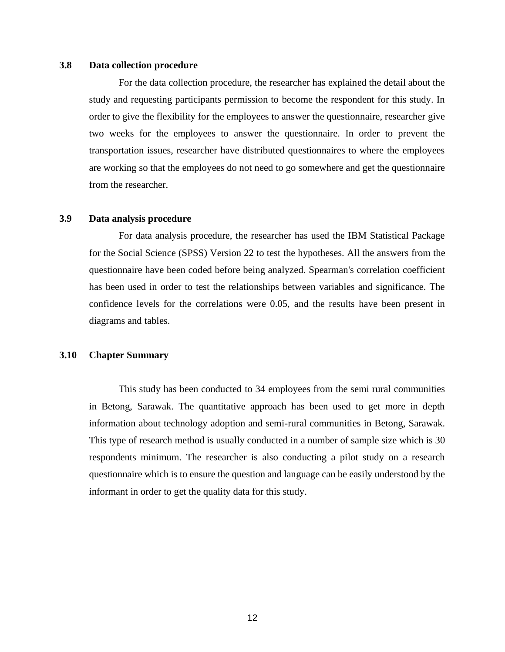# **3.8 Data collection procedure**

For the data collection procedure, the researcher has explained the detail about the study and requesting participants permission to become the respondent for this study. In order to give the flexibility for the employees to answer the questionnaire, researcher give two weeks for the employees to answer the questionnaire. In order to prevent the transportation issues, researcher have distributed questionnaires to where the employees are working so that the employees do not need to go somewhere and get the questionnaire from the researcher.

# **3.9 Data analysis procedure**

For data analysis procedure, the researcher has used the IBM Statistical Package for the Social Science (SPSS) Version 22 to test the hypotheses. All the answers from the questionnaire have been coded before being analyzed. Spearman's correlation coefficient has been used in order to test the relationships between variables and significance. The confidence levels for the correlations were 0.05, and the results have been present in diagrams and tables.

# **3.10 Chapter Summary**

This study has been conducted to 34 employees from the semi rural communities in Betong, Sarawak. The quantitative approach has been used to get more in depth information about technology adoption and semi-rural communities in Betong, Sarawak. This type of research method is usually conducted in a number of sample size which is 30 respondents minimum. The researcher is also conducting a pilot study on a research questionnaire which is to ensure the question and language can be easily understood by the informant in order to get the quality data for this study.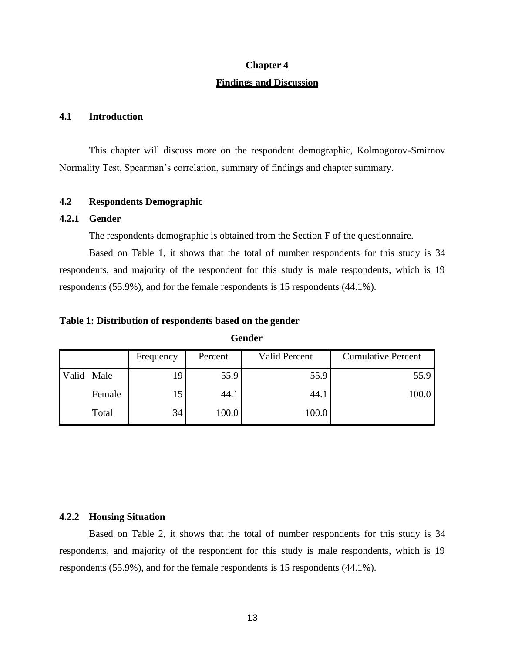# **Chapter 4**

#### **Findings and Discussion**

# **4.1 Introduction**

This chapter will discuss more on the respondent demographic, Kolmogorov-Smirnov Normality Test, Spearman's correlation, summary of findings and chapter summary.

# **4.2 Respondents Demographic**

### **4.2.1 Gender**

The respondents demographic is obtained from the Section F of the questionnaire.

Based on Table 1, it shows that the total of number respondents for this study is 34 respondents, and majority of the respondent for this study is male respondents, which is 19 respondents (55.9%), and for the female respondents is 15 respondents (44.1%).

## **Table 1: Distribution of respondents based on the gender**

|       |        | Frequency | Percent | Valid Percent | <b>Cumulative Percent</b> |
|-------|--------|-----------|---------|---------------|---------------------------|
| Valid | Male   | 19        | 55.9    | 55.9          | 55.9                      |
|       | Female | 15        | 44.1    | 44.1          | 100.0                     |
|       | Total  | 34        | 100.0   | 100.0         |                           |

**Gender**

# **4.2.2 Housing Situation**

Based on Table 2, it shows that the total of number respondents for this study is 34 respondents, and majority of the respondent for this study is male respondents, which is 19 respondents (55.9%), and for the female respondents is 15 respondents (44.1%).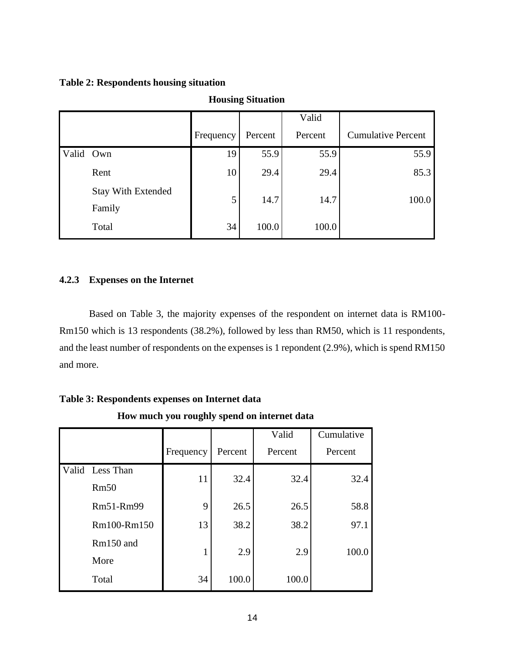# **Table 2: Respondents housing situation**

|           |                                     |           |         | Valid   |                           |
|-----------|-------------------------------------|-----------|---------|---------|---------------------------|
|           |                                     | Frequency | Percent | Percent | <b>Cumulative Percent</b> |
| Valid Own |                                     | 19        | 55.9    | 55.9    | 55.9                      |
|           | Rent                                | 10        | 29.4    | 29.4    | 85.3                      |
|           | <b>Stay With Extended</b><br>Family | 5         | 14.7    | 14.7    | 100.0                     |
|           | Total                               | 34        | 100.0   | 100.0   |                           |

# **Housing Situation**

# **4.2.3 Expenses on the Internet**

Based on Table 3, the majority expenses of the respondent on internet data is RM100- Rm150 which is 13 respondents (38.2%), followed by less than RM50, which is 11 respondents, and the least number of respondents on the expenses is 1 repondent (2.9%), which is spend RM150 and more.

| now mach you roughly spend on micritic data |           |         |             |             |  |
|---------------------------------------------|-----------|---------|-------------|-------------|--|
|                                             |           |         | Valid       | Cumulative  |  |
|                                             | Frequency | Percent | Percent     | Percent     |  |
| Valid Less Than                             |           |         |             | 32.4        |  |
| Rm50                                        |           |         |             |             |  |
| Rm51-Rm99                                   | 9         | 26.5    | 26.5        | 58.8        |  |
| Rm100-Rm150                                 | 13        | 38.2    | 38.2        | 97.1        |  |
| Rm150 and                                   |           |         |             | 100.0       |  |
| More                                        |           |         |             |             |  |
| Total                                       | 34        | 100.0   | 100.0       |             |  |
|                                             |           | 11      | 32.4<br>2.9 | 32.4<br>2.9 |  |

**Table 3: Respondents expenses on Internet data**

**How much you roughly spend on internet data**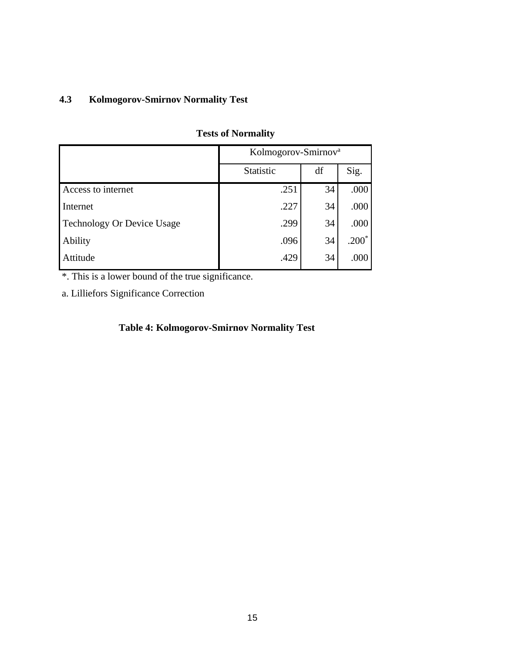# **4.3 Kolmogorov-Smirnov Normality Test**

|                                   | Kolmogorov-Smirnov <sup>a</sup> |    |         |  |
|-----------------------------------|---------------------------------|----|---------|--|
|                                   | Statistic                       | df | Sig.    |  |
| Access to internet                | .251                            | 34 | .000    |  |
| Internet                          | .227                            | 34 | .000    |  |
| <b>Technology Or Device Usage</b> | .299                            | 34 | .000    |  |
| Ability                           | .096                            | 34 | $.200*$ |  |
| Attitude                          | .429                            | 34 | .000    |  |

# **Tests of Normality**

\*. This is a lower bound of the true significance.

a. Lilliefors Significance Correction

# **Table 4: Kolmogorov-Smirnov Normality Test**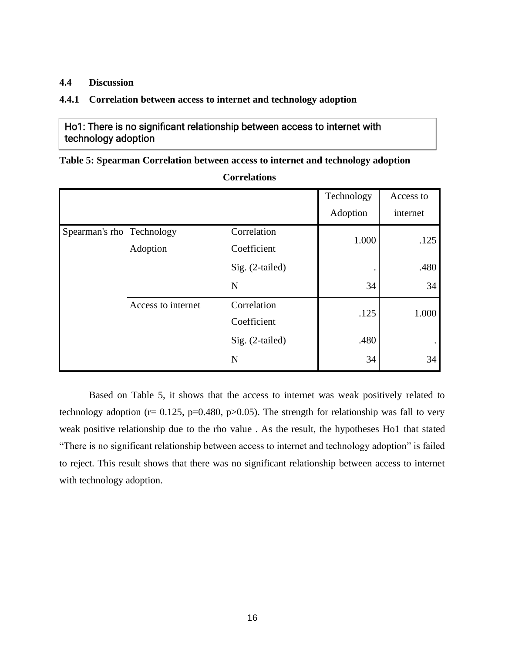# **4.4 Discussion**

# **4.4.1 Correlation between access to internet and technology adoption**

Ho1: There is no significant relationship between access to internet with technology adoption

**Table 5: Spearman Correlation between access to internet and technology adoption**

**Correlations**

|                           |                    |                            | Technology | Access to |
|---------------------------|--------------------|----------------------------|------------|-----------|
|                           |                    |                            | Adoption   | internet  |
| Spearman's rho Technology |                    | Correlation                | 1.000      | .125      |
|                           | Adoption           | Coefficient                |            |           |
|                           |                    | Sig. (2-tailed)            |            | .480      |
|                           |                    | N                          | 34         | 34        |
|                           | Access to internet | Correlation<br>Coefficient | .125       | 1.000     |
|                           |                    | Sig. (2-tailed)            | .480       |           |
|                           |                    | N                          | 34         | 34        |

Based on Table 5, it shows that the access to internet was weak positively related to technology adoption ( $r= 0.125$ ,  $p=0.480$ ,  $p>0.05$ ). The strength for relationship was fall to very weak positive relationship due to the rho value . As the result, the hypotheses Ho1 that stated "There is no significant relationship between access to internet and technology adoption" is failed to reject. This result shows that there was no significant relationship between access to internet with technology adoption.